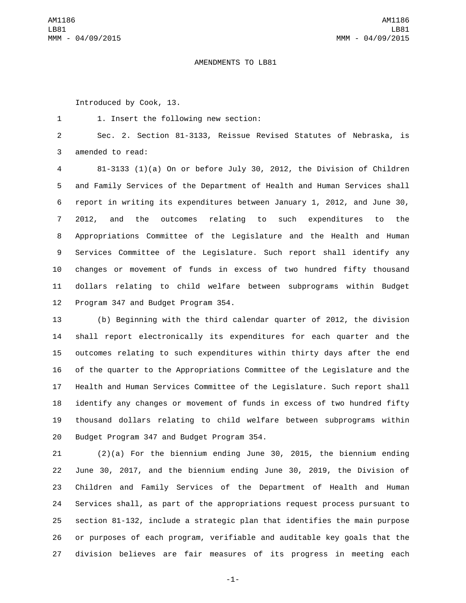## AMENDMENTS TO LB81

Introduced by Cook, 13.

1. Insert the following new section:1

 Sec. 2. Section 81-3133, Reissue Revised Statutes of Nebraska, is 3 amended to read:

 81-3133 (1)(a) On or before July 30, 2012, the Division of Children and Family Services of the Department of Health and Human Services shall report in writing its expenditures between January 1, 2012, and June 30, 2012, and the outcomes relating to such expenditures to the Appropriations Committee of the Legislature and the Health and Human Services Committee of the Legislature. Such report shall identify any changes or movement of funds in excess of two hundred fifty thousand dollars relating to child welfare between subprograms within Budget 12 Program 347 and Budget Program 354.

 (b) Beginning with the third calendar quarter of 2012, the division shall report electronically its expenditures for each quarter and the outcomes relating to such expenditures within thirty days after the end of the quarter to the Appropriations Committee of the Legislature and the Health and Human Services Committee of the Legislature. Such report shall identify any changes or movement of funds in excess of two hundred fifty thousand dollars relating to child welfare between subprograms within 20 Budget Program 347 and Budget Program 354.

 (2)(a) For the biennium ending June 30, 2015, the biennium ending June 30, 2017, and the biennium ending June 30, 2019, the Division of Children and Family Services of the Department of Health and Human Services shall, as part of the appropriations request process pursuant to section 81-132, include a strategic plan that identifies the main purpose or purposes of each program, verifiable and auditable key goals that the division believes are fair measures of its progress in meeting each

-1-